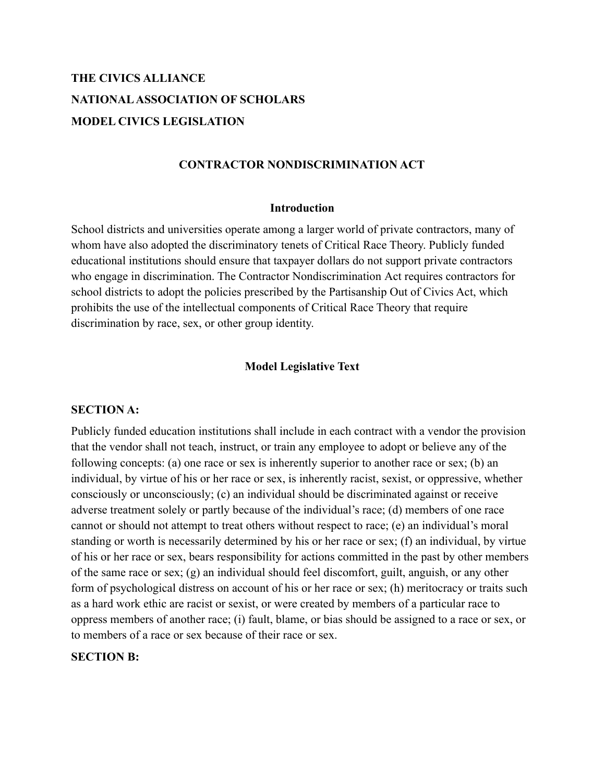# **THE CIVICS ALLIANCE NATIONALASSOCIATION OF SCHOLARS MODEL CIVICS LEGISLATION**

## **CONTRACTOR NONDISCRIMINATION ACT**

#### **Introduction**

School districts and universities operate among a larger world of private contractors, many of whom have also adopted the discriminatory tenets of Critical Race Theory. Publicly funded educational institutions should ensure that taxpayer dollars do not support private contractors who engage in discrimination. The Contractor Nondiscrimination Act requires contractors for school districts to adopt the policies prescribed by the Partisanship Out of Civics Act, which prohibits the use of the intellectual components of Critical Race Theory that require discrimination by race, sex, or other group identity.

### **Model Legislative Text**

#### **SECTION A:**

Publicly funded education institutions shall include in each contract with a vendor the provision that the vendor shall not teach, instruct, or train any employee to adopt or believe any of the following concepts: (a) one race or sex is inherently superior to another race or sex; (b) an individual, by virtue of his or her race or sex, is inherently racist, sexist, or oppressive, whether consciously or unconsciously; (c) an individual should be discriminated against or receive adverse treatment solely or partly because of the individual's race; (d) members of one race cannot or should not attempt to treat others without respect to race; (e) an individual's moral standing or worth is necessarily determined by his or her race or sex; (f) an individual, by virtue of his or her race or sex, bears responsibility for actions committed in the past by other members of the same race or sex; (g) an individual should feel discomfort, guilt, anguish, or any other form of psychological distress on account of his or her race or sex; (h) meritocracy or traits such as a hard work ethic are racist or sexist, or were created by members of a particular race to oppress members of another race; (i) fault, blame, or bias should be assigned to a race or sex, or to members of a race or sex because of their race or sex.

## **SECTION B:**